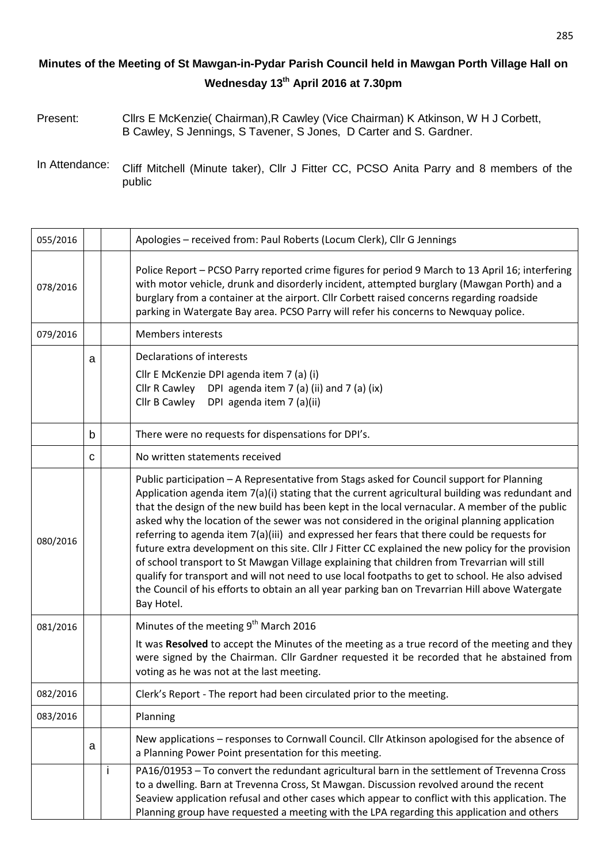## **Minutes of the Meeting of St Mawgan-in-Pydar Parish Council held in Mawgan Porth Village Hall on Wednesday 13th April 2016 at 7.30pm**

- Present: Cllrs E McKenzie( Chairman),R Cawley (Vice Chairman) K Atkinson, W H J Corbett, B Cawley, S Jennings, S Tavener, S Jones, D Carter and S. Gardner.
- In Attendance: Cliff Mitchell (Minute taker), Cllr J Fitter CC, PCSO Anita Parry and 8 members of the public

| 055/2016 |   |              | Apologies - received from: Paul Roberts (Locum Clerk), Cllr G Jennings                                                                                                                                                                                                                                                                                                                                                                                                                                                                                                                                                                                                                                                                                                                                                                                                                                                   |
|----------|---|--------------|--------------------------------------------------------------------------------------------------------------------------------------------------------------------------------------------------------------------------------------------------------------------------------------------------------------------------------------------------------------------------------------------------------------------------------------------------------------------------------------------------------------------------------------------------------------------------------------------------------------------------------------------------------------------------------------------------------------------------------------------------------------------------------------------------------------------------------------------------------------------------------------------------------------------------|
| 078/2016 |   |              | Police Report - PCSO Parry reported crime figures for period 9 March to 13 April 16; interfering<br>with motor vehicle, drunk and disorderly incident, attempted burglary (Mawgan Porth) and a<br>burglary from a container at the airport. Cllr Corbett raised concerns regarding roadside<br>parking in Watergate Bay area. PCSO Parry will refer his concerns to Newquay police.                                                                                                                                                                                                                                                                                                                                                                                                                                                                                                                                      |
| 079/2016 |   |              | <b>Members interests</b>                                                                                                                                                                                                                                                                                                                                                                                                                                                                                                                                                                                                                                                                                                                                                                                                                                                                                                 |
|          | a |              | Declarations of interests<br>Cllr E McKenzie DPI agenda item 7 (a) (i)<br>Cllr R Cawley<br>DPI agenda item 7 (a) (ii) and 7 (a) (ix)<br>Cllr B Cawley<br>DPI agenda item 7 (a)(ii)                                                                                                                                                                                                                                                                                                                                                                                                                                                                                                                                                                                                                                                                                                                                       |
|          | b |              | There were no requests for dispensations for DPI's.                                                                                                                                                                                                                                                                                                                                                                                                                                                                                                                                                                                                                                                                                                                                                                                                                                                                      |
|          | C |              | No written statements received                                                                                                                                                                                                                                                                                                                                                                                                                                                                                                                                                                                                                                                                                                                                                                                                                                                                                           |
| 080/2016 |   |              | Public participation - A Representative from Stags asked for Council support for Planning<br>Application agenda item 7(a)(i) stating that the current agricultural building was redundant and<br>that the design of the new build has been kept in the local vernacular. A member of the public<br>asked why the location of the sewer was not considered in the original planning application<br>referring to agenda item 7(a)(iii) and expressed her fears that there could be requests for<br>future extra development on this site. Cllr J Fitter CC explained the new policy for the provision<br>of school transport to St Mawgan Village explaining that children from Trevarrian will still<br>qualify for transport and will not need to use local footpaths to get to school. He also advised<br>the Council of his efforts to obtain an all year parking ban on Trevarrian Hill above Watergate<br>Bay Hotel. |
| 081/2016 |   |              | Minutes of the meeting 9 <sup>th</sup> March 2016<br>It was Resolved to accept the Minutes of the meeting as a true record of the meeting and they<br>were signed by the Chairman. Cllr Gardner requested it be recorded that he abstained from<br>voting as he was not at the last meeting.                                                                                                                                                                                                                                                                                                                                                                                                                                                                                                                                                                                                                             |
| 082/2016 |   |              | Clerk's Report - The report had been circulated prior to the meeting.                                                                                                                                                                                                                                                                                                                                                                                                                                                                                                                                                                                                                                                                                                                                                                                                                                                    |
| 083/2016 |   |              | Planning                                                                                                                                                                                                                                                                                                                                                                                                                                                                                                                                                                                                                                                                                                                                                                                                                                                                                                                 |
|          | a |              | New applications - responses to Cornwall Council. Cllr Atkinson apologised for the absence of<br>a Planning Power Point presentation for this meeting.                                                                                                                                                                                                                                                                                                                                                                                                                                                                                                                                                                                                                                                                                                                                                                   |
|          |   | $\mathbf{I}$ | PA16/01953 - To convert the redundant agricultural barn in the settlement of Trevenna Cross<br>to a dwelling. Barn at Trevenna Cross, St Mawgan. Discussion revolved around the recent<br>Seaview application refusal and other cases which appear to conflict with this application. The<br>Planning group have requested a meeting with the LPA regarding this application and others                                                                                                                                                                                                                                                                                                                                                                                                                                                                                                                                  |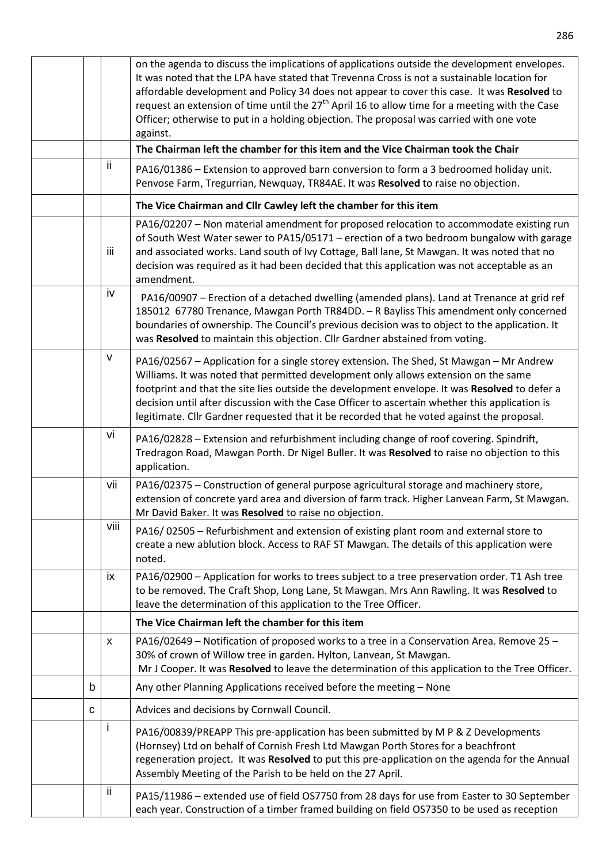|      | on the agenda to discuss the implications of applications outside the development envelopes.<br>It was noted that the LPA have stated that Trevenna Cross is not a sustainable location for<br>affordable development and Policy 34 does not appear to cover this case. It was Resolved to<br>request an extension of time until the $27th$ April 16 to allow time for a meeting with the Case<br>Officer; otherwise to put in a holding objection. The proposal was carried with one vote<br>against. |
|------|--------------------------------------------------------------------------------------------------------------------------------------------------------------------------------------------------------------------------------------------------------------------------------------------------------------------------------------------------------------------------------------------------------------------------------------------------------------------------------------------------------|
|      | The Chairman left the chamber for this item and the Vice Chairman took the Chair                                                                                                                                                                                                                                                                                                                                                                                                                       |
| ii.  | PA16/01386 – Extension to approved barn conversion to form a 3 bedroomed holiday unit.<br>Penvose Farm, Tregurrian, Newquay, TR84AE. It was Resolved to raise no objection.                                                                                                                                                                                                                                                                                                                            |
|      | The Vice Chairman and Cllr Cawley left the chamber for this item                                                                                                                                                                                                                                                                                                                                                                                                                                       |
| -iii | PA16/02207 - Non material amendment for proposed relocation to accommodate existing run<br>of South West Water sewer to PA15/05171 - erection of a two bedroom bungalow with garage<br>and associated works. Land south of Ivy Cottage, Ball lane, St Mawgan. It was noted that no<br>decision was required as it had been decided that this application was not acceptable as an<br>amendment.                                                                                                        |
| iv   | PA16/00907 - Erection of a detached dwelling (amended plans). Land at Trenance at grid ref<br>185012 67780 Trenance, Mawgan Porth TR84DD. - R Bayliss This amendment only concerned<br>boundaries of ownership. The Council's previous decision was to object to the application. It<br>was Resolved to maintain this objection. Cllr Gardner abstained from voting.                                                                                                                                   |
| V    | PA16/02567 - Application for a single storey extension. The Shed, St Mawgan - Mr Andrew<br>Williams. It was noted that permitted development only allows extension on the same<br>footprint and that the site lies outside the development envelope. It was Resolved to defer a<br>decision until after discussion with the Case Officer to ascertain whether this application is<br>legitimate. Cllr Gardner requested that it be recorded that he voted against the proposal.                        |
| vi   | PA16/02828 - Extension and refurbishment including change of roof covering. Spindrift,<br>Tredragon Road, Mawgan Porth. Dr Nigel Buller. It was Resolved to raise no objection to this<br>application.                                                                                                                                                                                                                                                                                                 |
| vii  | PA16/02375 - Construction of general purpose agricultural storage and machinery store,<br>extension of concrete yard area and diversion of farm track. Higher Lanvean Farm, St Mawgan.<br>Mr David Baker. It was Resolved to raise no objection.                                                                                                                                                                                                                                                       |
| viii | PA16/02505 - Refurbishment and extension of existing plant room and external store to<br>create a new ablution block. Access to RAF ST Mawgan. The details of this application were<br>noted.                                                                                                                                                                                                                                                                                                          |
| ix   | PA16/02900 - Application for works to trees subject to a tree preservation order. T1 Ash tree<br>to be removed. The Craft Shop, Long Lane, St Mawgan. Mrs Ann Rawling. It was Resolved to<br>leave the determination of this application to the Tree Officer.                                                                                                                                                                                                                                          |
|      | The Vice Chairman left the chamber for this item                                                                                                                                                                                                                                                                                                                                                                                                                                                       |
| X    | PA16/02649 - Notification of proposed works to a tree in a Conservation Area. Remove 25 -<br>30% of crown of Willow tree in garden. Hylton, Lanvean, St Mawgan.<br>Mr J Cooper. It was Resolved to leave the determination of this application to the Tree Officer.                                                                                                                                                                                                                                    |
| b    | Any other Planning Applications received before the meeting - None                                                                                                                                                                                                                                                                                                                                                                                                                                     |
| C    | Advices and decisions by Cornwall Council.                                                                                                                                                                                                                                                                                                                                                                                                                                                             |
| T    | PA16/00839/PREAPP This pre-application has been submitted by M P & Z Developments<br>(Hornsey) Ltd on behalf of Cornish Fresh Ltd Mawgan Porth Stores for a beachfront<br>regeneration project. It was Resolved to put this pre-application on the agenda for the Annual<br>Assembly Meeting of the Parish to be held on the 27 April.                                                                                                                                                                 |
| ii.  | PA15/11986 - extended use of field OS7750 from 28 days for use from Easter to 30 September<br>each year. Construction of a timber framed building on field OS7350 to be used as reception                                                                                                                                                                                                                                                                                                              |

286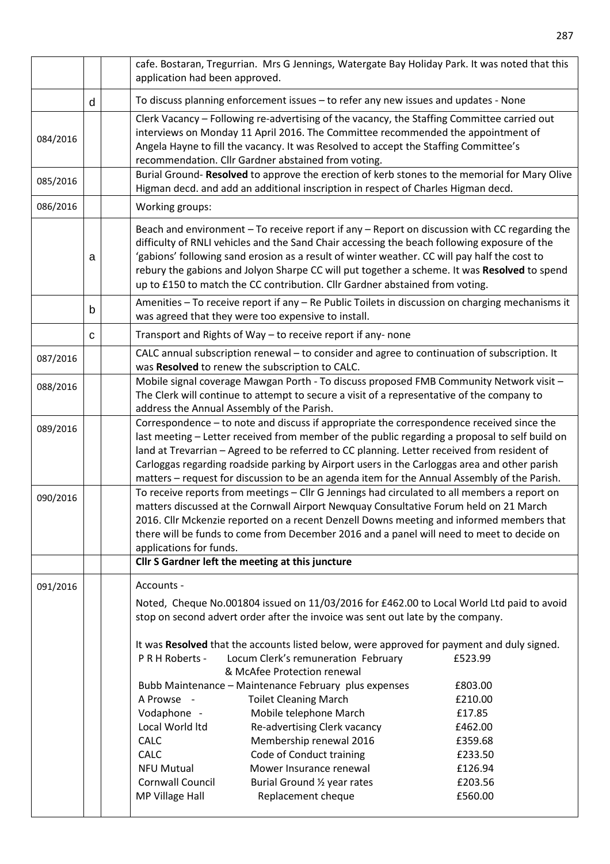|          |   | cafe. Bostaran, Tregurrian. Mrs G Jennings, Watergate Bay Holiday Park. It was noted that this<br>application had been approved.                                                                                                                                                                                                                                                                                                                                                           |
|----------|---|--------------------------------------------------------------------------------------------------------------------------------------------------------------------------------------------------------------------------------------------------------------------------------------------------------------------------------------------------------------------------------------------------------------------------------------------------------------------------------------------|
|          | d | To discuss planning enforcement issues - to refer any new issues and updates - None                                                                                                                                                                                                                                                                                                                                                                                                        |
| 084/2016 |   | Clerk Vacancy - Following re-advertising of the vacancy, the Staffing Committee carried out<br>interviews on Monday 11 April 2016. The Committee recommended the appointment of<br>Angela Hayne to fill the vacancy. It was Resolved to accept the Staffing Committee's<br>recommendation. Cllr Gardner abstained from voting.                                                                                                                                                             |
| 085/2016 |   | Burial Ground- Resolved to approve the erection of kerb stones to the memorial for Mary Olive<br>Higman decd. and add an additional inscription in respect of Charles Higman decd.                                                                                                                                                                                                                                                                                                         |
| 086/2016 |   | Working groups:                                                                                                                                                                                                                                                                                                                                                                                                                                                                            |
|          | а | Beach and environment - To receive report if any - Report on discussion with CC regarding the<br>difficulty of RNLI vehicles and the Sand Chair accessing the beach following exposure of the<br>'gabions' following sand erosion as a result of winter weather. CC will pay half the cost to<br>rebury the gabions and Jolyon Sharpe CC will put together a scheme. It was Resolved to spend<br>up to £150 to match the CC contribution. Cllr Gardner abstained from voting.              |
|          | b | Amenities - To receive report if any - Re Public Toilets in discussion on charging mechanisms it<br>was agreed that they were too expensive to install.                                                                                                                                                                                                                                                                                                                                    |
|          | C | Transport and Rights of Way - to receive report if any-none                                                                                                                                                                                                                                                                                                                                                                                                                                |
| 087/2016 |   | CALC annual subscription renewal - to consider and agree to continuation of subscription. It<br>was Resolved to renew the subscription to CALC.                                                                                                                                                                                                                                                                                                                                            |
| 088/2016 |   | Mobile signal coverage Mawgan Porth - To discuss proposed FMB Community Network visit -<br>The Clerk will continue to attempt to secure a visit of a representative of the company to<br>address the Annual Assembly of the Parish.                                                                                                                                                                                                                                                        |
| 089/2016 |   | Correspondence - to note and discuss if appropriate the correspondence received since the<br>last meeting - Letter received from member of the public regarding a proposal to self build on<br>land at Trevarrian - Agreed to be referred to CC planning. Letter received from resident of<br>Carloggas regarding roadside parking by Airport users in the Carloggas area and other parish<br>matters - request for discussion to be an agenda item for the Annual Assembly of the Parish. |
| 090/2016 |   | To receive reports from meetings - Cllr G Jennings had circulated to all members a report on<br>matters discussed at the Cornwall Airport Newquay Consultative Forum held on 21 March<br>2016. Cllr Mckenzie reported on a recent Denzell Downs meeting and informed members that<br>there will be funds to come from December 2016 and a panel will need to meet to decide on<br>applications for funds.<br>Cllr S Gardner left the meeting at this juncture                              |
| 091/2016 |   | Accounts -                                                                                                                                                                                                                                                                                                                                                                                                                                                                                 |
|          |   | Noted, Cheque No.001804 issued on 11/03/2016 for £462.00 to Local World Ltd paid to avoid<br>stop on second advert order after the invoice was sent out late by the company.                                                                                                                                                                                                                                                                                                               |
|          |   | It was Resolved that the accounts listed below, were approved for payment and duly signed.<br>PRH Roberts -<br>Locum Clerk's remuneration February<br>£523.99<br>& McAfee Protection renewal                                                                                                                                                                                                                                                                                               |
|          |   | Bubb Maintenance - Maintenance February plus expenses<br>£803.00<br><b>Toilet Cleaning March</b><br>A Prowse -<br>£210.00<br>Vodaphone -<br>Mobile telephone March<br>£17.85<br>Local World Itd<br>Re-advertising Clerk vacancy<br>£462.00<br>Membership renewal 2016<br><b>CALC</b><br>£359.68<br><b>CALC</b><br>Code of Conduct training<br>£233.50<br>Mower Insurance renewal<br>£126.94<br><b>NFU Mutual</b><br>Cornwall Council<br>£203.56<br>Burial Ground 1/2 year rates            |
|          |   | MP Village Hall<br>Replacement cheque<br>£560.00                                                                                                                                                                                                                                                                                                                                                                                                                                           |